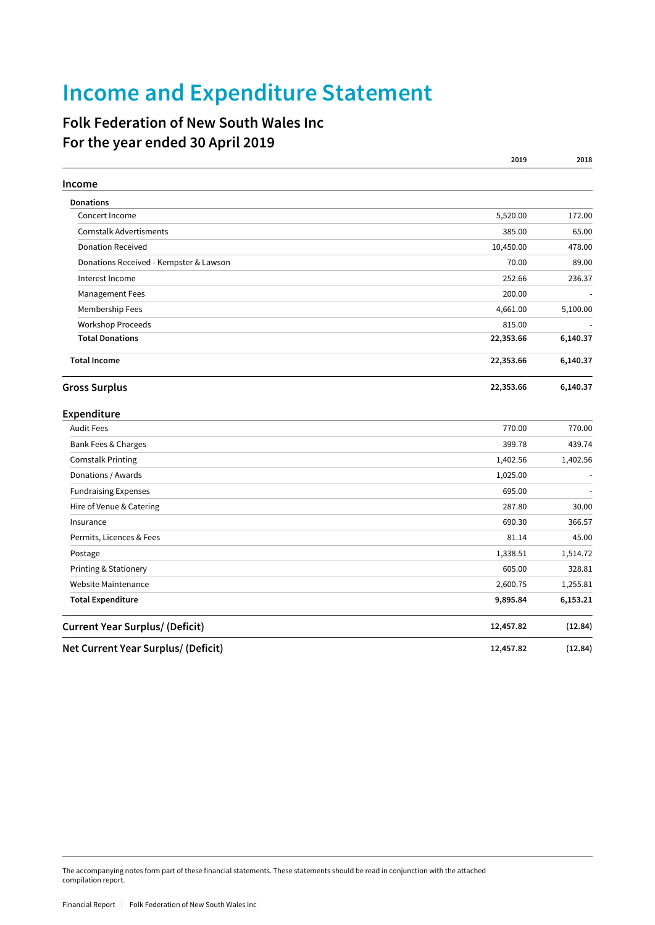## **Income and Expenditure Statement**

## **Folk Federation of New South Wales Inc For the year ended 30 April 2019**

|                                        | 2019      | 2018     |
|----------------------------------------|-----------|----------|
| Income                                 |           |          |
| <b>Donations</b>                       |           |          |
| Concert Income                         | 5,520.00  | 172.00   |
| <b>Cornstalk Advertisments</b>         | 385.00    | 65.00    |
| <b>Donation Received</b>               | 10,450.00 | 478.00   |
| Donations Received - Kempster & Lawson | 70.00     | 89.00    |
| Interest Income                        | 252.66    | 236.37   |
| Management Fees                        | 200.00    |          |
| Membership Fees                        | 4,661.00  | 5,100.00 |
| Workshop Proceeds                      | 815.00    |          |
| <b>Total Donations</b>                 | 22,353.66 | 6,140.37 |
| <b>Total Income</b>                    | 22,353.66 | 6,140.37 |
| <b>Gross Surplus</b>                   | 22,353.66 | 6,140.37 |
| Expenditure                            |           |          |
| <b>Audit Fees</b>                      | 770.00    | 770.00   |
| Bank Fees & Charges                    | 399.78    | 439.74   |
| <b>Cornstalk Printing</b>              | 1,402.56  | 1,402.56 |
| Donations / Awards                     | 1,025.00  |          |
| <b>Fundraising Expenses</b>            | 695.00    |          |
| Hire of Venue & Catering               | 287.80    | 30.00    |
| Insurance                              | 690.30    | 366.57   |
| Permits, Licences & Fees               | 81.14     | 45.00    |
| Postage                                | 1,338.51  | 1,514.72 |
| Printing & Stationery                  | 605.00    | 328.81   |
| Website Maintenance                    | 2,600.75  | 1,255.81 |
| <b>Total Expenditure</b>               | 9,895.84  | 6,153.21 |
| <b>Current Year Surplus/ (Deficit)</b> | 12,457.82 | (12.84)  |
| Net Current Year Surplus/ (Deficit)    | 12,457.82 | (12.84)  |

The accompanying notes form part of these financial statements. These statements should be read in conjunction with the attached compilation report.